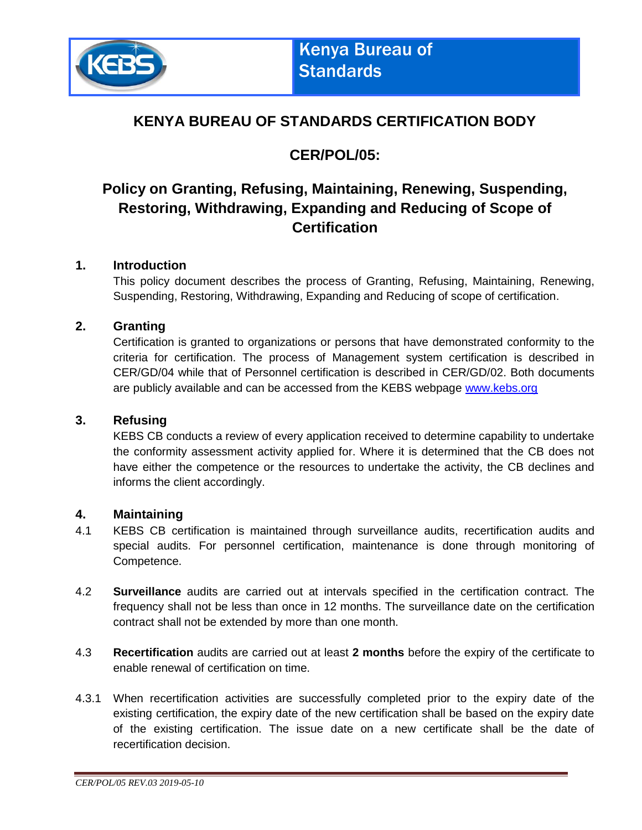

# **KENYA BUREAU OF STANDARDS CERTIFICATION BODY**

# **CER/POL/05:**

# **Policy on Granting, Refusing, Maintaining, Renewing, Suspending, Restoring, Withdrawing, Expanding and Reducing of Scope of Certification**

# **1. Introduction**

This policy document describes the process of Granting, Refusing, Maintaining, Renewing, Suspending, Restoring, Withdrawing, Expanding and Reducing of scope of certification.

# **2. Granting**

Certification is granted to organizations or persons that have demonstrated conformity to the criteria for certification. The process of Management system certification is described in CER/GD/04 while that of Personnel certification is described in CER/GD/02. Both documents are publicly available and can be accessed from the KEBS webpage [www.kebs.org](http://www.kebs.org/) 

## **3. Refusing**

KEBS CB conducts a review of every application received to determine capability to undertake the conformity assessment activity applied for. Where it is determined that the CB does not have either the competence or the resources to undertake the activity, the CB declines and informs the client accordingly.

#### **4. Maintaining**

- 4.1 KEBS CB certification is maintained through surveillance audits, recertification audits and special audits. For personnel certification, maintenance is done through monitoring of Competence.
- 4.2 **Surveillance** audits are carried out at intervals specified in the certification contract. The frequency shall not be less than once in 12 months. The surveillance date on the certification contract shall not be extended by more than one month.
- 4.3 **Recertification** audits are carried out at least **2 months** before the expiry of the certificate to enable renewal of certification on time.
- 4.3.1 When recertification activities are successfully completed prior to the expiry date of the existing certification, the expiry date of the new certification shall be based on the expiry date of the existing certification. The issue date on a new certificate shall be the date of recertification decision.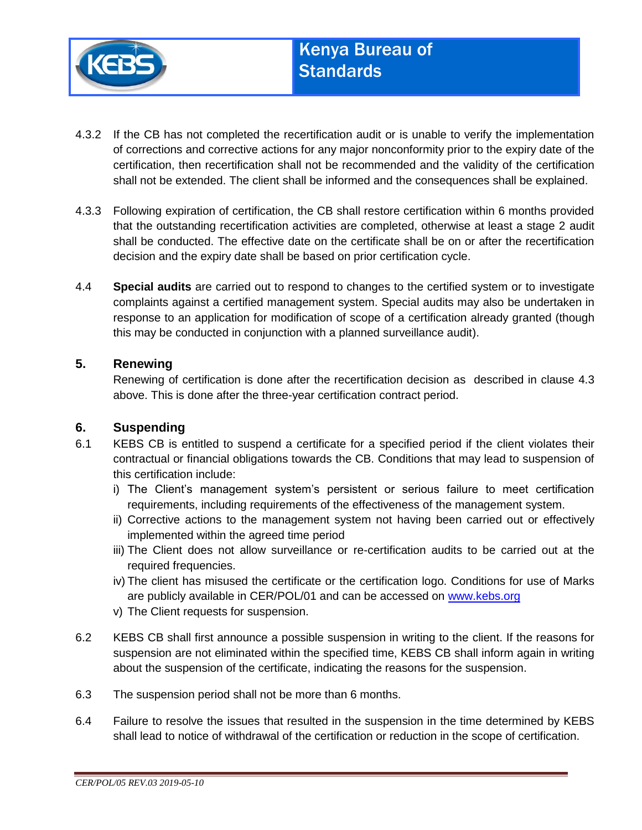

- 4.3.2 If the CB has not completed the recertification audit or is unable to verify the implementation of corrections and corrective actions for any major nonconformity prior to the expiry date of the certification, then recertification shall not be recommended and the validity of the certification shall not be extended. The client shall be informed and the consequences shall be explained.
- 4.3.3 Following expiration of certification, the CB shall restore certification within 6 months provided that the outstanding recertification activities are completed, otherwise at least a stage 2 audit shall be conducted. The effective date on the certificate shall be on or after the recertification decision and the expiry date shall be based on prior certification cycle.
- 4.4 **Special audits** are carried out to respond to changes to the certified system or to investigate complaints against a certified management system. Special audits may also be undertaken in response to an application for modification of scope of a certification already granted (though this may be conducted in conjunction with a planned surveillance audit).

# **5. Renewing**

Renewing of certification is done after the recertification decision as described in clause 4.3 above. This is done after the three-year certification contract period.

#### **6. Suspending**

- 6.1 KEBS CB is entitled to suspend a certificate for a specified period if the client violates their contractual or financial obligations towards the CB. Conditions that may lead to suspension of this certification include:
	- i) The Client's management system's persistent or serious failure to meet certification requirements, including requirements of the effectiveness of the management system.
	- ii) Corrective actions to the management system not having been carried out or effectively implemented within the agreed time period
	- iii) The Client does not allow surveillance or re-certification audits to be carried out at the required frequencies.
	- iv) The client has misused the certificate or the certification logo. Conditions for use of Marks are publicly available in CER/POL/01 and can be accessed on [www.kebs.org](http://www.kebs.org/)
	- v) The Client requests for suspension.
- 6.2 KEBS CB shall first announce a possible suspension in writing to the client. If the reasons for suspension are not eliminated within the specified time, KEBS CB shall inform again in writing about the suspension of the certificate, indicating the reasons for the suspension.
- 6.3 The suspension period shall not be more than 6 months.
- 6.4 Failure to resolve the issues that resulted in the suspension in the time determined by KEBS shall lead to notice of withdrawal of the certification or reduction in the scope of certification.